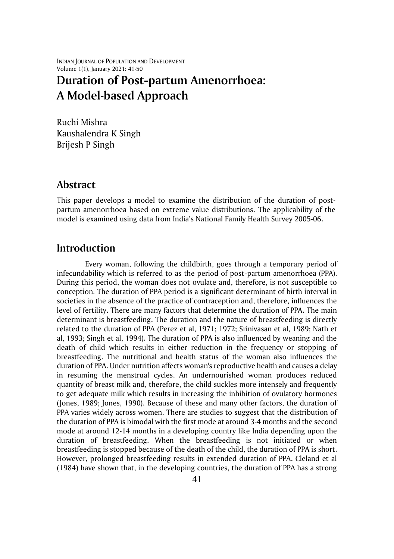INDIAN JOURNAL OF POPULATION AND DEVELOPMENT Volume 1(1), January 2021: 41-50

# **Duration of Post-partum Amenorrhoea: A Model-based Approach**

Ruchi Mishra Kaushalendra K Singh Brijesh P Singh

### **Abstract**

This paper develops a model to examine the distribution of the duration of postpartum amenorrhoea based on extreme value distributions. The applicability of the model is examined using data from India's National Family Health Survey 2005-06.

### **Introduction**

Every woman, following the childbirth, goes through a temporary period of infecundability which is referred to as the period of post-partum amenorrhoea (PPA). During this period, the woman does not ovulate and, therefore, is not susceptible to conception. The duration of PPA period is a significant determinant of birth interval in societies in the absence of the practice of contraception and, therefore, influences the level of fertility. There are many factors that determine the duration of PPA. The main determinant is breastfeeding. The duration and the nature of breastfeeding is directly related to the duration of PPA (Perez et al, 1971; 1972; Srinivasan et al, 1989; Nath et al, 1993; Singh et al, 1994). The duration of PPA is also influenced by weaning and the death of child which results in either reduction in the frequency or stopping of breastfeeding. The nutritional and health status of the woman also influences the duration of PPA. Under nutrition affects woman's reproductive health and causes a delay in resuming the menstrual cycles. An undernourished woman produces reduced quantity of breast milk and, therefore, the child suckles more intensely and frequently to get adequate milk which results in increasing the inhibition of ovulatory hormones (Jones, 1989; Jones, 1990). Because of these and many other factors, the duration of PPA varies widely across women. There are studies to suggest that the distribution of the duration of PPA is bimodal with the first mode at around 3-4 months and the second mode at around 12-14 months in a developing country like India depending upon the duration of breastfeeding. When the breastfeeding is not initiated or when breastfeeding is stopped because of the death of the child, the duration of PPA is short. However, prolonged breastfeeding results in extended duration of PPA. Cleland et al (1984) have shown that, in the developing countries, the duration of PPA has a strong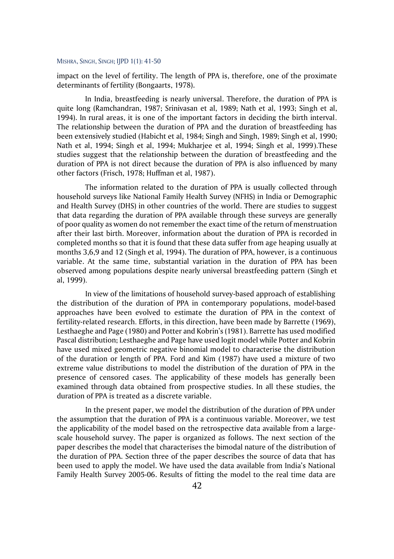impact on the level of fertility. The length of PPA is, therefore, one of the proximate determinants of fertility (Bongaarts, 1978).

In India, breastfeeding is nearly universal. Therefore, the duration of PPA is quite long (Ramchandran, 1987; Srinivasan et al, 1989; Nath et al, 1993; Singh et al, 1994). In rural areas, it is one of the important factors in deciding the birth interval. The relationship between the duration of PPA and the duration of breastfeeding has been extensively studied (Habicht et al, 1984; Singh and Singh, 1989; Singh et al, 1990; Nath et al, 1994; Singh et al, 1994; Mukharjee et al, 1994; Singh et al, 1999).These studies suggest that the relationship between the duration of breastfeeding and the duration of PPA is not direct because the duration of PPA is also influenced by many other factors (Frisch, 1978; Huffman et al, 1987).

The information related to the duration of PPA is usually collected through household surveys like National Family Health Survey (NFHS) in India or Demographic and Health Survey (DHS) in other countries of the world. There are studies to suggest that data regarding the duration of PPA available through these surveys are generally of poor quality as women do not remember the exact time of the return of menstruation after their last birth. Moreover, information about the duration of PPA is recorded in completed months so that it is found that these data suffer from age heaping usually at months 3,6,9 and 12 (Singh et al, 1994). The duration of PPA, however, is a continuous variable. At the same time, substantial variation in the duration of PPA has been observed among populations despite nearly universal breastfeeding pattern (Singh et al, 1999).

In view of the limitations of household survey-based approach of establishing the distribution of the duration of PPA in contemporary populations, model-based approaches have been evolved to estimate the duration of PPA in the context of fertility-related research. Efforts, in this direction, have been made by Barrette (1969), Lesthaeghe and Page (1980) and Potter and Kobrin's (1981). Barrette has used modified Pascal distribution; Lesthaeghe and Page have used logit model while Potter and Kobrin have used mixed geometric negative binomial model to characterise the distribution of the duration or length of PPA. Ford and Kim (1987) have used a mixture of two extreme value distributions to model the distribution of the duration of PPA in the presence of censored cases. The applicability of these models has generally been examined through data obtained from prospective studies. In all these studies, the duration of PPA is treated as a discrete variable.

In the present paper, we model the distribution of the duration of PPA under the assumption that the duration of PPA is a continuous variable. Moreover, we test the applicability of the model based on the retrospective data available from a largescale household survey. The paper is organized as follows. The next section of the paper describes the model that characterises the bimodal nature of the distribution of the duration of PPA. Section three of the paper describes the source of data that has been used to apply the model. We have used the data available from India's National Family Health Survey 2005-06. Results of fitting the model to the real time data are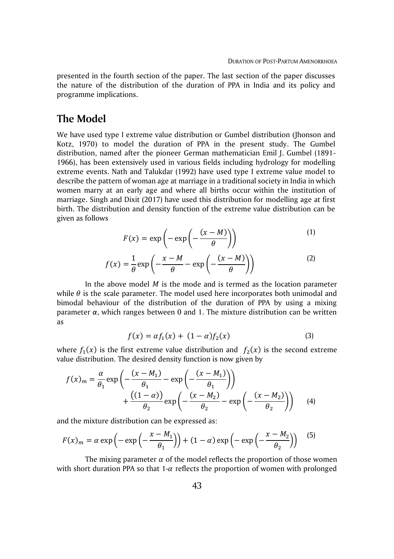presented in the fourth section of the paper. The last section of the paper discusses the nature of the distribution of the duration of PPA in India and its policy and programme implications.

### **The Model**

We have used type I extreme value distribution or Gumbel distribution (Jhonson and Kotz, 1970) to model the duration of PPA in the present study. The Gumbel distribution, named after the pioneer German mathematician Emil J. Gumbel (1891- 1966), has been extensively used in various fields including hydrology for modelling extreme events. Nath and Talukdar (1992) have used type I extreme value model to describe the pattern of woman age at marriage in a traditional society in India in which women marry at an early age and where all births occur within the institution of marriage. Singh and Dixit (2017) have used this distribution for modelling age at first birth. The distribution and density function of the extreme value distribution can be given as follows

$$
F(x) = \exp\left(-\exp\left(-\frac{(x-M)}{\theta}\right)\right) \tag{1}
$$

$$
f(x) = \frac{1}{\theta} \exp\left(-\frac{x - M}{\theta} - \exp\left(-\frac{(x - M)}{\theta}\right)\right)
$$
 (2)

In the above model  $M$  is the mode and is termed as the location parameter while  $\theta$  is the scale parameter. The model used here incorporates both unimodal and bimodal behaviour of the distribution of the duration of PPA by using a mixing parameter *α*, which ranges between 0 and 1. The mixture distribution can be written as

$$
f(x) = \alpha f_1(x) + (1 - \alpha) f_2(x)
$$
 (3)

where  $f_1(x)$  is the first extreme value distribution and  $f_2(x)$  is the second extreme value distribution. The desired density function is now given by

$$
f(x)_m = \frac{\alpha}{\theta_1} \exp\left(-\frac{(x - M_1)}{\theta_1} - \exp\left(-\frac{(x - M_1)}{\theta_1}\right)\right) + \frac{((1 - \alpha))}{\theta_2} \exp\left(-\frac{(x - M_2)}{\theta_2} - \exp\left(-\frac{(x - M_2)}{\theta_2}\right)\right) \tag{4}
$$

and the mixture distribution can be expressed as:

$$
F(x)_m = \alpha \exp\left(-\exp\left(-\frac{x - M_1}{\theta_1}\right)\right) + (1 - \alpha) \exp\left(-\exp\left(-\frac{x - M_2}{\theta_2}\right)\right) \tag{5}
$$

The mixing parameter  $\alpha$  of the model reflects the proportion of those women with short duration PPA so that 1- $\alpha$  reflects the proportion of women with prolonged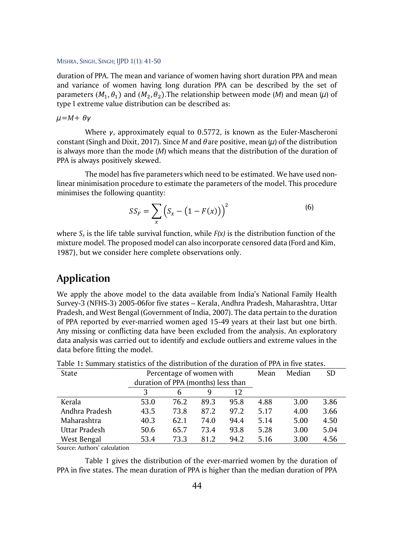duration of PPA. The mean and variance of women having short duration PPA and mean and variance of women having long duration PPA can be described by the set of parameters  $(M_1, \theta_1)$  and  $(M_2, \theta_2)$ .The relationship between mode (*M*) and mean ( $\mu$ ) of type I extreme value distribution can be described as:

*µ*=*M*+ *γ*

Where *γ*, approximately equal to 0.5772, is known as the Euler-Mascheroni constant (Singh and Dixit, 2017). Since *M* and  $\theta$  are positive, mean  $(\mu)$  of the distribution is always more than the mode (*M*) which means that the distribution of the duration of PPA is always positively skewed.

The model has five parameters which need to be estimated. We have used nonlinear minimisation procedure to estimate the parameters of the model. This procedure minimises the following quantity:

$$
SS_F = \sum_{x} \left( S_x - \left( 1 - F(x) \right) \right)^2 \tag{6}
$$

where  $S<sub>x</sub>$  is the life table survival function, while  $F(x)$  is the distribution function of the mixture model. The proposed model can also incorporate censored data (Ford and Kim, 1987), but we consider here complete observations only.

# **Application**

We apply the above model to the data available from India's National Family Health Survey-3 (NFHS-3) 2005-06for five states – Kerala, Andhra Pradesh, Maharashtra, Uttar Pradesh, and West Bengal (Government of India, 2007). The data pertain to the duration of PPA reported by ever-married women aged 15-49 years at their last but one birth. Any missing or conflicting data have been excluded from the analysis. An exploratory data analysis was carried out to identify and exclude outliers and extreme values in the data before fitting the model.

| State          |                                    | Percentage of women with |      | Mean | Median | <b>SD</b> |      |
|----------------|------------------------------------|--------------------------|------|------|--------|-----------|------|
|                | duration of PPA (months) less than |                          |      |      |        |           |      |
|                |                                    |                          | 9    | 12   |        |           |      |
| Kerala         | 53.0                               | 76.2                     | 89.3 | 95.8 | 4.88   | 3.00      | 3.86 |
| Andhra Pradesh | 43.5                               | 73.8                     | 87.2 | 97.2 | 5.17   | 4.00      | 3.66 |
| Maharashtra    | 40.3                               | 62.1                     | 74.0 | 94.4 | 5.14   | 5.00      | 4.50 |
| Uttar Pradesh  | 50.6                               | 65.7                     | 73.4 | 93.8 | 5.28   | 3.00      | 5.04 |
| West Bengal    | 53.4                               | 73.3                     | 81.2 | 94.2 | 5.16   | 3.00      | 4.56 |

Table 1**:** Summary statistics of the distribution of the duration of PPA in five states.

Source: Authors' calculation

Table 1 gives the distribution of the ever-married women by the duration of PPA in five states. The mean duration of PPA is higher than the median duration of PPA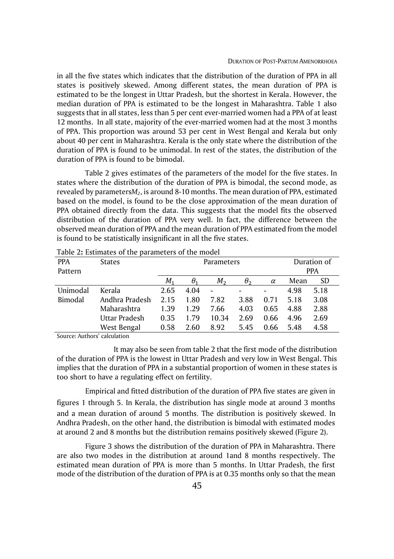in all the five states which indicates that the distribution of the duration of PPA in all states is positively skewed. Among different states, the mean duration of PPA is estimated to be the longest in Uttar Pradesh, but the shortest in Kerala. However, the median duration of PPA is estimated to be the longest in Maharashtra. Table 1 also suggests that in all states, less than 5 per cent ever-married women had a PPA of at least 12 months. In all state, majority of the ever-married women had at the most 3 months of PPA. This proportion was around 53 per cent in West Bengal and Kerala but only about 40 per cent in Maharashtra. Kerala is the only state where the distribution of the duration of PPA is found to be unimodal. In rest of the states, the distribution of the duration of PPA is found to be bimodal.

Table 2 gives estimates of the parameters of the model for the five states. In states where the distribution of the duration of PPA is bimodal, the second mode, as revealed by parameters*M2*, is around 8-10 months. The mean duration of PPA, estimated based on the model, is found to be the close approximation of the mean duration of PPA obtained directly from the data. This suggests that the model fits the observed distribution of the duration of PPA very well. In fact, the difference between the observed mean duration of PPA and the mean duration of PPA estimated from the model is found to be statistically insignificant in all the five states.

| <b>PPA</b><br>Pattern | <b>States</b>  | Parameters |            |             |      |          | Duration of<br><b>PPA</b> |           |
|-----------------------|----------------|------------|------------|-------------|------|----------|---------------------------|-----------|
|                       |                | М.         | $\theta_1$ | $M_{\odot}$ | θ,   | $\alpha$ | Mean                      | <b>SD</b> |
| Unimodal              | Kerala         | 2.65       | 4.04       |             |      |          | 4.98                      | 5.18      |
| Bimodal               | Andhra Pradesh | 2.15       | 1.80       | 7.82        | 3.88 | 0.71     | 5.18                      | 3.08      |
|                       | Maharashtra    | 1.39       | 1.29       | 7.66        | 4.03 | 0.65     | 4.88                      | 2.88      |
|                       | Uttar Pradesh  | 0.35       | 179        | 10.34       | 2.69 | 0.66     | 4.96                      | 2.69      |
|                       | West Bengal    | 0.58       | 2.60       | 8.92        | 5.45 | 0.66     | 5.48                      | 4.58      |

Table 2**:** Estimates of the parameters of the model

Source: Authors' calculation

It may also be seen from table 2 that the first mode of the distribution of the duration of PPA is the lowest in Uttar Pradesh and very low in West Bengal. This implies that the duration of PPA in a substantial proportion of women in these states is too short to have a regulating effect on fertility.

Empirical and fitted distribution of the duration of PPA five states are given in figures 1 through 5. In Kerala, the distribution has single mode at around 3 months and a mean duration of around 5 months. The distribution is positively skewed. In Andhra Pradesh, on the other hand, the distribution is bimodal with estimated modes at around 2 and 8 months but the distribution remains positively skewed (Figure 2).

Figure 3 shows the distribution of the duration of PPA in Maharashtra. There are also two modes in the distribution at around 1and 8 months respectively. The estimated mean duration of PPA is more than 5 months. In Uttar Pradesh, the first mode of the distribution of the duration of PPA is at 0.35 months only so that the mean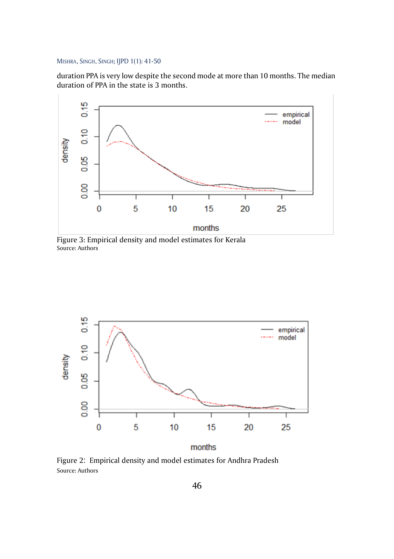duration PPA is very low despite the second mode at more than 10 months. The median duration of PPA in the state is 3 months.



Figure 3: Empirical density and model estimates for Kerala Source: Authors



months

Figure 2: Empirical density and model estimates for Andhra Pradesh Source: Authors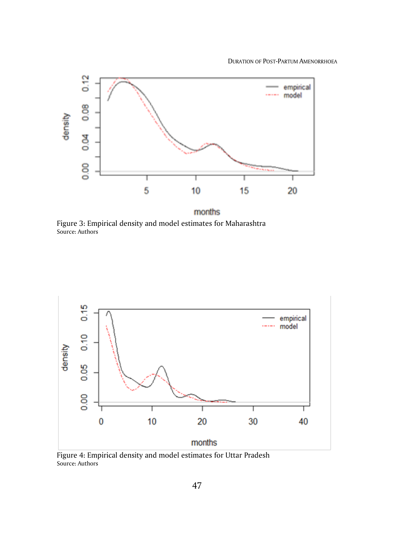DURATION OF POST-PARTUM AMENORRHOEA



Figure 3: Empirical density and model estimates for Maharashtra Source: Authors



Figure 4: Empirical density and model estimates for Uttar Pradesh Source: Authors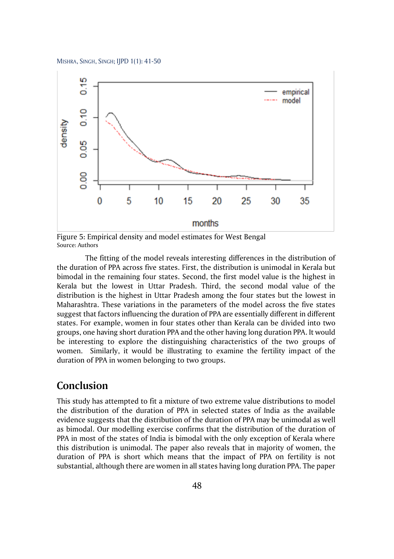

months

Figure 5: Empirical density and model estimates for West Bengal Source: Authors

The fitting of the model reveals interesting differences in the distribution of the duration of PPA across five states. First, the distribution is unimodal in Kerala but bimodal in the remaining four states. Second, the first model value is the highest in Kerala but the lowest in Uttar Pradesh. Third, the second modal value of the distribution is the highest in Uttar Pradesh among the four states but the lowest in Maharashtra. These variations in the parameters of the model across the five states suggest that factors influencing the duration of PPA are essentially different in different states. For example, women in four states other than Kerala can be divided into two groups, one having short duration PPA and the other having long duration PPA. It would be interesting to explore the distinguishing characteristics of the two groups of women. Similarly, it would be illustrating to examine the fertility impact of the duration of PPA in women belonging to two groups.

## **Conclusion**

This study has attempted to fit a mixture of two extreme value distributions to model the distribution of the duration of PPA in selected states of India as the available evidence suggests that the distribution of the duration of PPA may be unimodal as well as bimodal. Our modelling exercise confirms that the distribution of the duration of PPA in most of the states of India is bimodal with the only exception of Kerala where this distribution is unimodal. The paper also reveals that in majority of women, the duration of PPA is short which means that the impact of PPA on fertility is not substantial, although there are women in all states having long duration PPA. The paper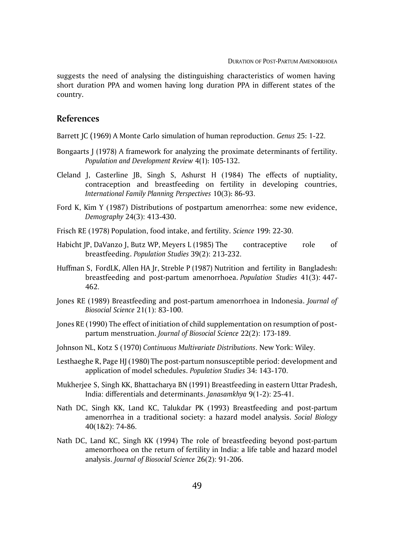suggests the need of analysing the distinguishing characteristics of women having short duration PPA and women having long duration PPA in different states of the country.

#### **References**

Barrett JC (1969) A Monte Carlo simulation of human reproduction. *Genus* 25: 1-22.

- Bongaarts J (1978) A framework for analyzing the proximate determinants of fertility. *Population and Development Review* 4(1): 105-132.
- Cleland J, Casterline JB, Singh S, Ashurst H (1984) The effects of nuptiality, contraception and breastfeeding on fertility in developing countries, *International Family Planning Perspectives* 10(3): 86-93.
- Ford K, Kim Y (1987) Distributions of postpartum amenorrhea: some new evidence, *Demography* 24(3): 413-430.
- Frisch RE (1978) Population, food intake, and fertility. *Science* 199: 22-30.
- Habicht JP, DaVanzo J, Butz WP, Meyers L (1985) The contraceptive role of breastfeeding. *Population Studies* 39(2): 213-232.
- Huffman S, FordLK, Allen HA Jr, Streble P (1987) Nutrition and fertility in Bangladesh: breastfeeding and post-partum amenorrhoea. *Population Studies* 41(3): 447- 462.
- Jones RE (1989) Breastfeeding and post-partum amenorrhoea in Indonesia. *Journal of Biosocial Science* 21(1): 83-100.
- Jones RE (1990) The effect of initiation of child supplementation on resumption of postpartum menstruation. *Journal of Biosocial Science* 22(2): 173-189.
- Johnson NL, Kotz S (1970) *Continuous Multivariate Distributions*. New York: Wiley.
- Lesthaeghe R, Page HJ (1980) The post-partum nonsusceptible period: development and application of model schedules. *Population Studies* 34: 143-170.
- Mukherjee S, Singh KK, Bhattacharya BN (1991) Breastfeeding in eastern Uttar Pradesh, India: differentials and determinants. *Janasamkhya* 9(1-2): 25-41.
- Nath DC, Singh KK, Land KC, Talukdar PK (1993) Breastfeeding and post-partum amenorrhea in a traditional society: a hazard model analysis. *Social Biology* 40(1&2): 74-86.
- Nath DC, Land KC, Singh KK (1994) The role of breastfeeding beyond post-partum amenorrhoea on the return of fertility in India: a life table and hazard model analysis. *Journal of Biosocial Science* 26(2): 91-206.